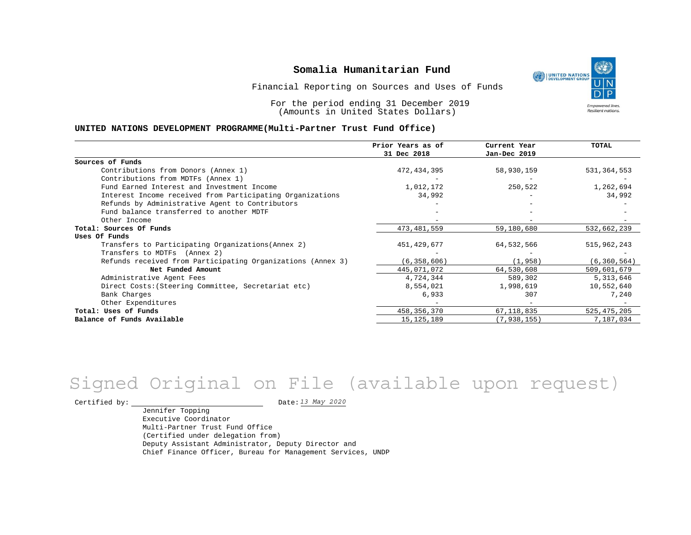UNITED NATIONS **Empowered lives** Resilient nations.

Financial Reporting on Sources and Uses of Funds

For the period ending 31 December 2019 (Amounts in United States Dollars)

#### **UNITED NATIONS DEVELOPMENT PROGRAMME(Multi-Partner Trust Fund Office)**

|                                                             | Prior Years as of | Current Year  | TOTAL         |
|-------------------------------------------------------------|-------------------|---------------|---------------|
|                                                             | 31 Dec 2018       | Jan-Dec 2019  |               |
| Sources of Funds                                            |                   |               |               |
| Contributions from Donors (Annex 1)                         | 472, 434, 395     | 58,930,159    | 531, 364, 553 |
| Contributions from MDTFs (Annex 1)                          |                   |               |               |
| Fund Earned Interest and Investment Income                  | 1,012,172         | 250,522       | 1,262,694     |
| Interest Income received from Participating Organizations   | 34,992            |               | 34,992        |
| Refunds by Administrative Agent to Contributors             |                   |               |               |
| Fund balance transferred to another MDTF                    |                   |               |               |
| Other Income                                                |                   |               |               |
| Total: Sources Of Funds                                     | 473, 481, 559     | 59,180,680    | 532,662,239   |
| Uses Of Funds                                               |                   |               |               |
| Transfers to Participating Organizations (Annex 2)          | 451,429,677       | 64,532,566    | 515,962,243   |
| Transfers to MDTFs (Annex 2)                                |                   |               |               |
| Refunds received from Participating Organizations (Annex 3) | (6, 358, 606)     | (1, 958)      | (6, 360, 564) |
| Net Funded Amount                                           | 445,071,072       | 64,530,608    | 509,601,679   |
| Administrative Agent Fees                                   | 4,724,344         | 589,302       | 5,313,646     |
| Direct Costs: (Steering Committee, Secretariat etc)         | 8,554,021         | 1,998,619     | 10,552,640    |
| Bank Charges                                                | 6,933             | 307           | 7,240         |
| Other Expenditures                                          |                   |               |               |
| Total: Uses of Funds                                        | 458, 356, 370     | 67,118,835    | 525, 475, 205 |
| Balance of Funds Available                                  | 15, 125, 189      | (7, 938, 155) | 7,187,034     |

# *13 May 2020* Signed Original on File (available upon request)

Certified by:  $\frac{D \text{ at } 2020}{D \text{ at } 2020}$ 

Jennifer Topping Executive Coordinator Multi-Partner Trust Fund Office (Certified under delegation from) Deputy Assistant Administrator, Deputy Director and Chief Finance Officer, Bureau for Management Services, UNDP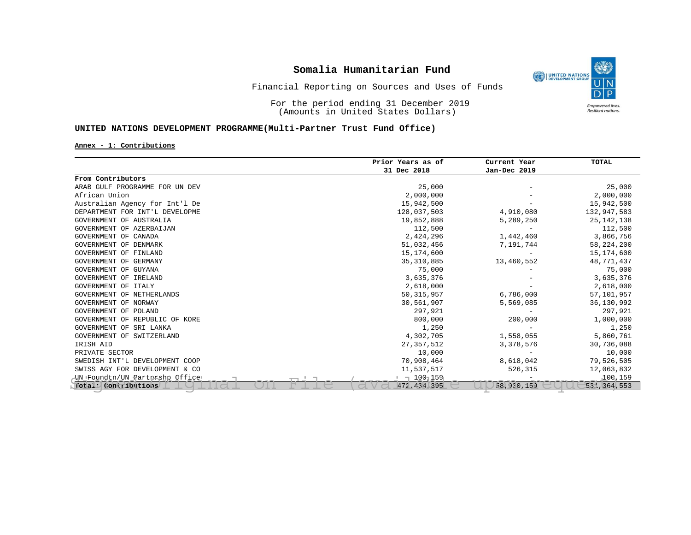

### Financial Reporting on Sources and Uses of Funds

For the period ending 31 December 2019 (Amounts in United States Dollars)

### **UNITED NATIONS DEVELOPMENT PROGRAMME(Multi-Partner Trust Fund Office)**

#### **Annex - 1: Contributions**

|                                | Prior Years as of | Current Year | TOTAL         |
|--------------------------------|-------------------|--------------|---------------|
|                                | 31 Dec 2018       | Jan-Dec 2019 |               |
| From Contributors              |                   |              |               |
| ARAB GULF PROGRAMME FOR UN DEV | 25,000            |              | 25,000        |
| African Union                  | 2,000,000         |              | 2,000,000     |
| Australian Agency for Int'l De | 15,942,500        |              | 15,942,500    |
| DEPARTMENT FOR INT'L DEVELOPME | 128,037,503       | 4,910,080    | 132,947,583   |
| GOVERNMENT OF AUSTRALIA        | 19,852,888        | 5,289,250    | 25, 142, 138  |
| GOVERNMENT OF AZERBAIJAN       | 112,500           |              | 112,500       |
| GOVERNMENT OF CANADA           | 2,424,296         | 1,442,460    | 3,866,756     |
| GOVERNMENT OF DENMARK          | 51,032,456        | 7,191,744    | 58, 224, 200  |
| GOVERNMENT OF FINLAND          | 15,174,600        |              | 15, 174, 600  |
| GOVERNMENT OF GERMANY          | 35, 310, 885      | 13,460,552   | 48,771,437    |
| GOVERNMENT OF GUYANA           | 75,000            |              | 75,000        |
| GOVERNMENT OF IRELAND          | 3,635,376         |              | 3,635,376     |
| GOVERNMENT OF ITALY            | 2,618,000         |              | 2,618,000     |
| GOVERNMENT OF NETHERLANDS      | 50, 315, 957      | 6,786,000    | 57,101,957    |
| GOVERNMENT OF NORWAY           | 30,561,907        | 5,569,085    | 36,130,992    |
| GOVERNMENT OF POLAND           | 297,921           |              | 297,921       |
| GOVERNMENT OF REPUBLIC OF KORE | 800,000           | 200,000      | 1,000,000     |
| GOVERNMENT OF SRI LANKA        | 1,250             |              | 1,250         |
| GOVERNMENT OF SWITZERLAND      | 4,302,705         | 1,558,055    | 5,860,761     |
| IRISH AID                      | 27, 357, 512      | 3,378,576    | 30,736,088    |
| PRIVATE SECTOR                 | 10,000            |              | 10,000        |
| SWEDISH INT'L DEVELOPMENT COOP | 70,908,464        | 8,618,042    | 79,526,505    |
| SWISS AGY FOR DEVELOPMENT & CO | 11,537,517        | 526,315      | 12,063,832    |
| UN Foundtn/UN Partnrshp Office | □ 1001159         |              | 100,159       |
| Dotal: Contributions           | 472.434 395       | 58, 930, 159 | 531, 364, 553 |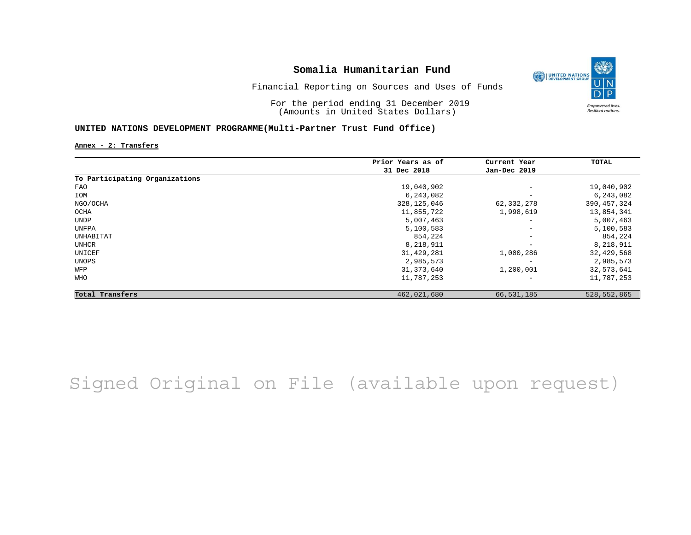

Financial Reporting on Sources and Uses of Funds

For the period ending 31 December 2019 (Amounts in United States Dollars)

### **UNITED NATIONS DEVELOPMENT PROGRAMME(Multi-Partner Trust Fund Office)**

**Annex - 2: Transfers**

|                                | Prior Years as of | Current Year             | TOTAL       |
|--------------------------------|-------------------|--------------------------|-------------|
|                                | 31 Dec 2018       | Jan-Dec 2019             |             |
| To Participating Organizations |                   |                          |             |
| FAO                            | 19,040,902        | $\overline{\phantom{m}}$ | 19,040,902  |
| IOM                            | 6,243,082         | $\overline{\phantom{m}}$ | 6,243,082   |
| NGO/OCHA                       | 328, 125, 046     | 62,332,278               | 390,457,324 |
| OCHA                           | 11,855,722        | 1,998,619                | 13,854,341  |
| UNDP                           | 5,007,463         | $\overline{\phantom{0}}$ | 5,007,463   |
| UNFPA                          | 5,100,583         | $\overline{\phantom{m}}$ | 5,100,583   |
| UNHABITAT                      | 854,224           | $\overline{\phantom{a}}$ | 854,224     |
| UNHCR                          | 8,218,911         | $\overline{\phantom{a}}$ | 8,218,911   |
| UNICEF                         | 31, 429, 281      | 1,000,286                | 32,429,568  |
| UNOPS                          | 2,985,573         |                          | 2,985,573   |
| WFP                            | 31, 373, 640      | 1,200,001                | 32,573,641  |
| <b>WHO</b>                     | 11,787,253        | $\overline{\phantom{0}}$ | 11,787,253  |
| Total Transfers                | 462,021,680       | 66,531,185               | 528,552,865 |

# Signed Original on File (available upon request)